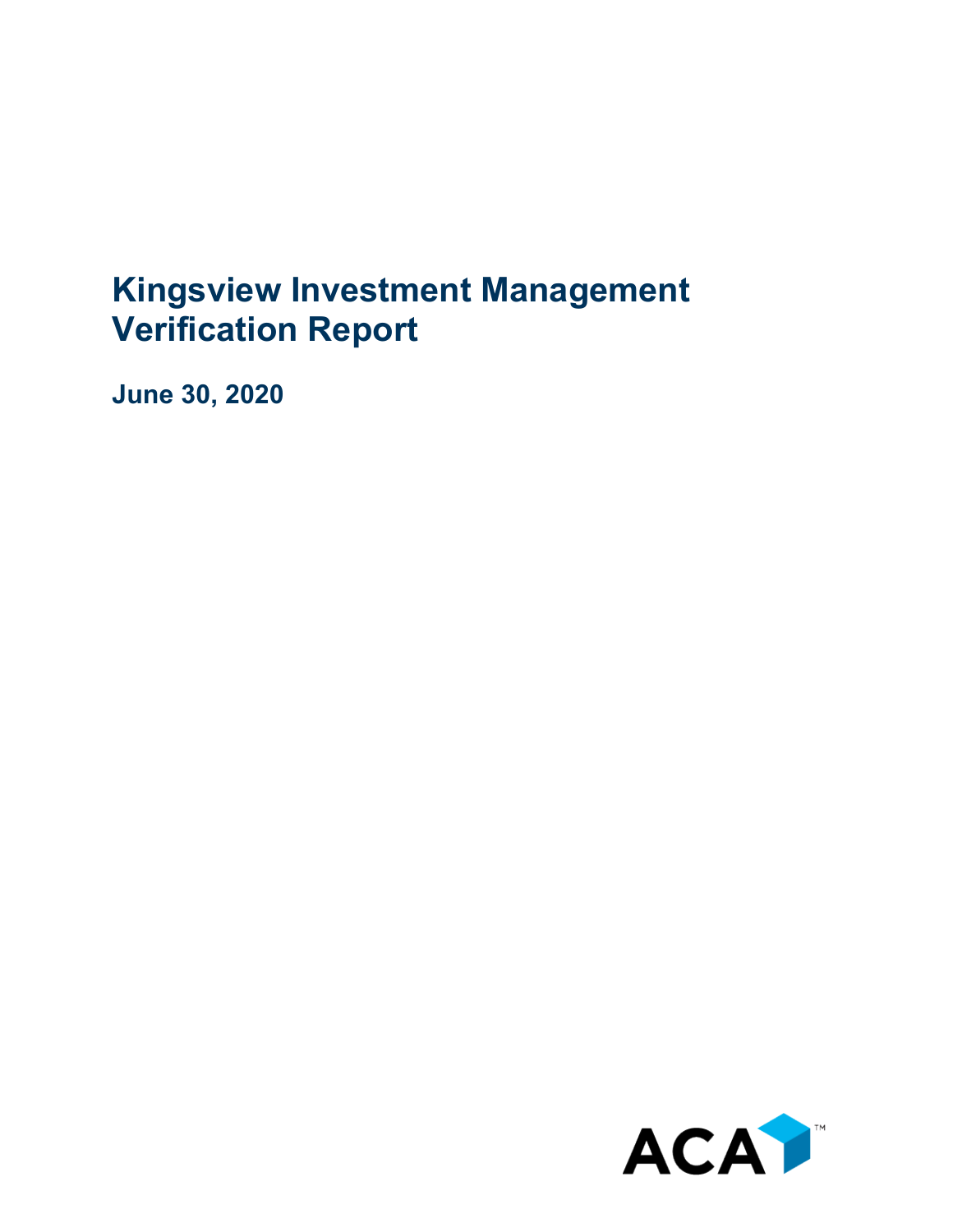## **Kingsview Investment Management Verification Report**

**June 30, 2020**